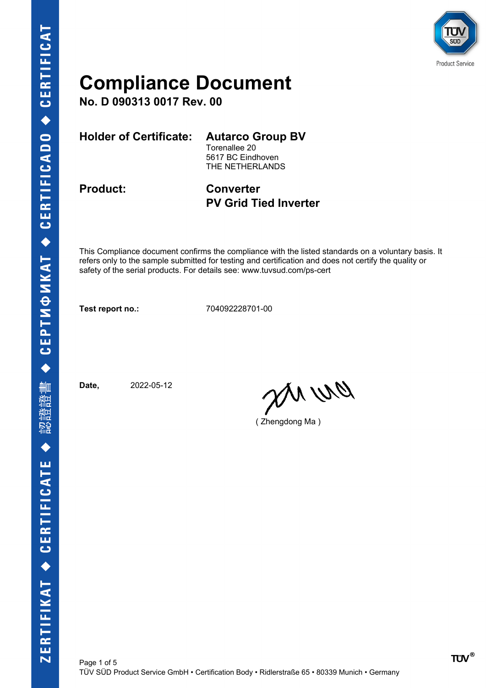

**No. D 090313 0017 Rev. 00**

**Holder of Certificate: Autarco Group BV**

Torenallee 20 5617 BC Eindhoven THE NETHERLANDS

**Product: Converter PV Grid Tied Inverter**

This Compliance document confirms the compliance with the listed standards on a voluntary basis. It refers only to the sample submitted for testing and certification and does not certify the quality or safety of the serial products. For details see: www.tuvsud.com/ps-cert

**Test report no.:** 704092228701-00

Page 1 of 5

**Date,** 2022-05-12

DN Wa

( Zhengdong Ma )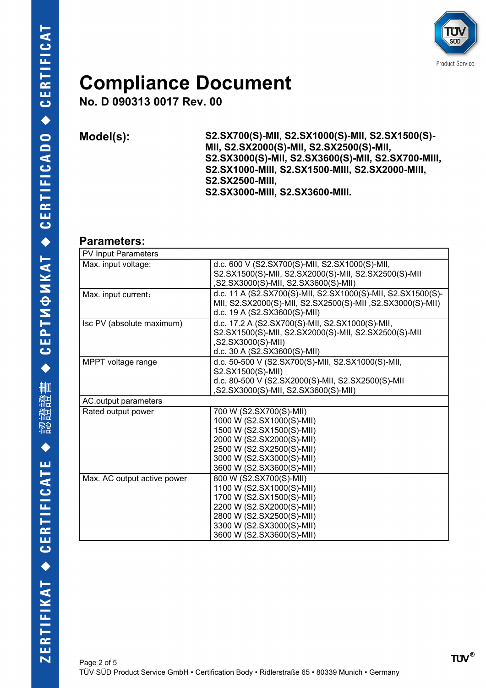

**No. D 090313 0017 Rev. 00**

**Model(s): S2.SX700(S)-MII, S2.SX1000(S)-MII, S2.SX1500(S)- MII, S2.SX2000(S)-MII, S2.SX2500(S)-MII, S2.SX3000(S)-MII, S2.SX3600(S)-MII, S2.SX700-MIII, S2.SX1000-MIII, S2.SX1500-MIII, S2.SX2000-MIII, S2.SX2500-MIII, S2.SX3000-MIII, S2.SX3600-MIII.**

#### **Parameters:**

| PV Input Parameters         |                                                                                                                                                                                                       |  |
|-----------------------------|-------------------------------------------------------------------------------------------------------------------------------------------------------------------------------------------------------|--|
| Max. input voltage:         | d.c. 600 V (S2.SX700(S)-MII, S2.SX1000(S)-MII,<br>S2.SX1500(S)-MII, S2.SX2000(S)-MII, S2.SX2500(S)-MII<br>,S2.SX3000(S)-MII, S2.SX3600(S)-MII)                                                        |  |
| Max. input current:         | d.c. 11 A (S2.SX700(S)-MII, S2.SX1000(S)-MII, S2.SX1500(S)-<br>MII, S2.SX2000(S)-MII, S2.SX2500(S)-MII, S2.SX3000(S)-MII)<br>d.c. 19 A (S2.SX3600(S)-MII)                                             |  |
| Isc PV (absolute maximum)   | d.c. 17.2 A (S2.SX700(S)-MII, S2.SX1000(S)-MII,<br>S2.SX1500(S)-MII, S2.SX2000(S)-MII, S2.SX2500(S)-MII<br>,S2.SX3000(S)-MII)<br>d.c. 30 A (S2.SX3600(S)-MII)                                         |  |
| MPPT voltage range          | d.c. 50-500 V (S2.SX700(S)-MII, S2.SX1000(S)-MII,<br>S2.SX1500(S)-MII)<br>d.c. 80-500 V (S2.SX2000(S)-MII, S2.SX2500(S)-MII<br>,S2.SX3000(S)-MII, S2.SX3600(S)-MII)                                   |  |
| AC.output parameters        |                                                                                                                                                                                                       |  |
| Rated output power          | 700 W (S2.SX700(S)-MII)<br>1000 W (S2.SX1000(S)-MII)<br>1500 W (S2.SX1500(S)-MII)<br>2000 W (S2.SX2000(S)-MII)<br>2500 W (S2.SX2500(S)-MII)<br>3000 W (S2.SX3000(S)-MII)<br>3600 W (S2.SX3600(S)-MII) |  |
| Max. AC output active power | 800 W (S2.SX700(S)-MII)<br>1100 W (S2.SX1000(S)-MII)<br>1700 W (S2.SX1500(S)-MII)<br>2200 W (S2.SX2000(S)-MII)<br>2800 W (S2.SX2500(S)-MII)<br>3300 W (S2.SX3000(S)-MII)<br>3600 W (S2.SX3600(S)-MII) |  |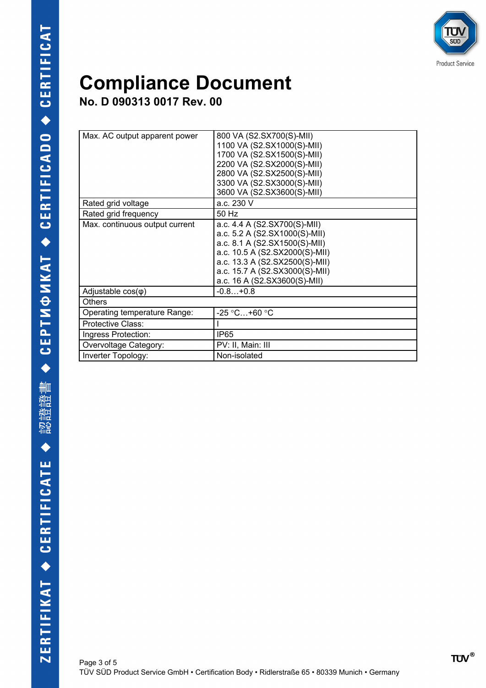

**No. D 090313 0017 Rev. 00**

| Max. AC output apparent power  | 800 VA (S2.SX700(S)-MII)       |
|--------------------------------|--------------------------------|
|                                | 1100 VA (S2.SX1000(S)-MII)     |
|                                | 1700 VA (S2.SX1500(S)-MII)     |
|                                | 2200 VA (S2.SX2000(S)-MII)     |
|                                | 2800 VA (S2.SX2500(S)-MII)     |
|                                | 3300 VA (S2.SX3000(S)-MII)     |
|                                | 3600 VA (S2.SX3600(S)-MII)     |
| Rated grid voltage             | a.c. 230 V                     |
| Rated grid frequency           | 50 Hz                          |
| Max. continuous output current | a.c. 4.4 A (S2.SX700(S)-MII)   |
|                                | a.c. 5.2 A (S2.SX1000(S)-MII)  |
|                                | a.c. 8.1 A (S2.SX1500(S)-MII)  |
|                                | a.c. 10.5 A (S2.SX2000(S)-MII) |
|                                | a.c. 13.3 A (S2.SX2500(S)-MII) |
|                                | a.c. 15.7 A (S2.SX3000(S)-MII) |
|                                | a.c. 16 A (S2.SX3600(S)-MII)   |
| Adjustable $cos(\varphi)$      | $-0.8+0.8$                     |
| <b>Others</b>                  |                                |
| Operating temperature Range:   | $-25$ °C+60 °C                 |
| Protective Class:              |                                |
| Ingress Protection:            | IP65                           |
| Overvoltage Category:          | PV: II, Main: III              |
| Inverter Topology:             | Non-isolated                   |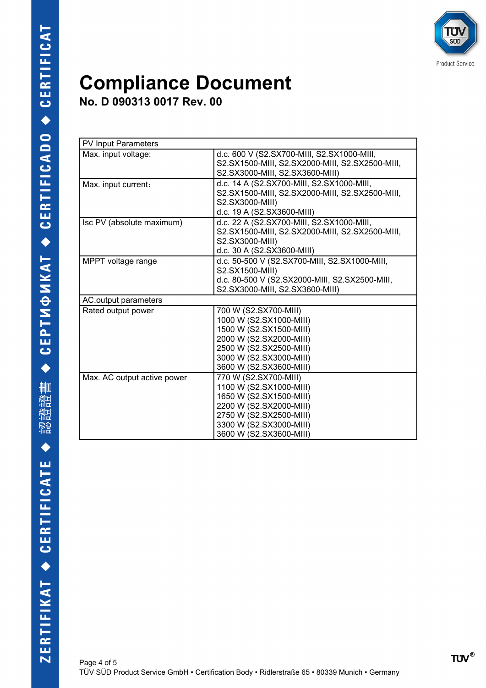

**No. D 090313 0017 Rev. 00**

| <b>PV Input Parameters</b>  |                                                                                                                                                                                         |  |
|-----------------------------|-----------------------------------------------------------------------------------------------------------------------------------------------------------------------------------------|--|
| Max. input voltage:         | d.c. 600 V (S2.SX700-MIII, S2.SX1000-MIII,<br>S2.SX1500-MIII, S2.SX2000-MIII, S2.SX2500-MIII,<br>S2.SX3000-MIII, S2.SX3600-MIII)                                                        |  |
| Max. input current:         | d.c. 14 A (S2.SX700-MIII, S2.SX1000-MIII,<br>S2.SX1500-MIII, S2.SX2000-MIII, S2.SX2500-MIII,<br>S2.SX3000-MIII)<br>d.c. 19 A (S2.SX3600-MIII)                                           |  |
| Isc PV (absolute maximum)   | d.c. 22 A (S2.SX700-MIII, S2.SX1000-MIII,<br>S2.SX1500-MIII, S2.SX2000-MIII, S2.SX2500-MIII,<br>S2.SX3000-MIII)<br>d.c. 30 A (S2.SX3600-MIII)                                           |  |
| MPPT voltage range          | d.c. 50-500 V (S2.SX700-MIII, S2.SX1000-MIII,<br>S2.SX1500-MIII)<br>d.c. 80-500 V (S2.SX2000-MIII, S2.SX2500-MIII,<br>S2.SX3000-MIII, S2.SX3600-MIII)                                   |  |
| AC output parameters        |                                                                                                                                                                                         |  |
| Rated output power          | 700 W (S2.SX700-MIII)<br>1000 W (S2.SX1000-MIII)<br>1500 W (S2.SX1500-MIII)<br>2000 W (S2.SX2000-MIII)<br>2500 W (S2.SX2500-MIII)<br>3000 W (S2.SX3000-MIII)<br>3600 W (S2.SX3600-MIII) |  |
| Max. AC output active power | 770 W (S2.SX700-MIII)<br>1100 W (S2.SX1000-MIII)<br>1650 W (S2.SX1500-MIII)<br>2200 W (S2.SX2000-MIII)<br>2750 W (S2.SX2500-MIII)<br>3300 W (S2.SX3000-MIII)<br>3600 W (S2.SX3600-MIII) |  |